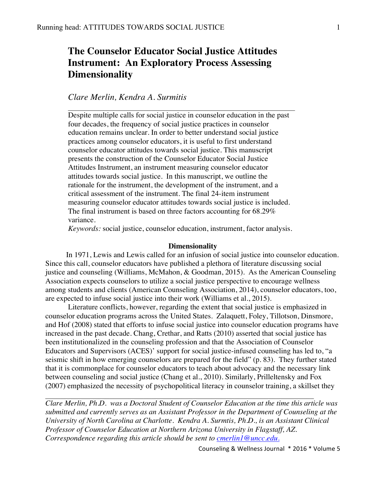# **The Counselor Educator Social Justice Attitudes Instrument: An Exploratory Process Assessing Dimensionality**

## *Clare Merlin, Kendra A. Surmitis*

Despite multiple calls for social justice in counselor education in the past four decades, the frequency of social justice practices in counselor education remains unclear. In order to better understand social justice practices among counselor educators, it is useful to first understand counselor educator attitudes towards social justice. This manuscript presents the construction of the Counselor Educator Social Justice Attitudes Instrument, an instrument measuring counselor educator attitudes towards social justice. In this manuscript, we outline the rationale for the instrument, the development of the instrument, and a critical assessment of the instrument. The final 24-item instrument measuring counselor educator attitudes towards social justice is included. The final instrument is based on three factors accounting for 68.29% variance.

 $\mathcal{L}_\text{max}$  , and the contribution of the contribution of the contribution of the contribution of the contribution of the contribution of the contribution of the contribution of the contribution of the contribution of t

*Keywords:* social justice, counselor education, instrument, factor analysis.

#### **Dimensionality**

 In 1971, Lewis and Lewis called for an infusion of social justice into counselor education. Since this call, counselor educators have published a plethora of literature discussing social justice and counseling (Williams, McMahon, & Goodman, 2015). As the American Counseling Association expects counselors to utilize a social justice perspective to encourage wellness among students and clients (American Counseling Association, 2014), counselor educators, too, are expected to infuse social justice into their work (Williams et al., 2015).

Literature conflicts, however, regarding the extent that social justice is emphasized in counselor education programs across the United States. Zalaquett, Foley, Tillotson, Dinsmore, and Hof (2008) stated that efforts to infuse social justice into counselor education programs have increased in the past decade. Chang, Crethar, and Ratts (2010) asserted that social justice has been institutionalized in the counseling profession and that the Association of Counselor Educators and Supervisors (ACES)' support for social justice-infused counseling has led to, "a seismic shift in how emerging counselors are prepared for the field" (p. 83). They further stated that it is commonplace for counselor educators to teach about advocacy and the necessary link between counseling and social justice (Chang et al., 2010). Similarly, Prilleltensky and Fox (2007) emphasized the necessity of psychopolitical literacy in counselor training, a skillset they

*Clare Merlin, Ph.D. was a Doctoral Student of Counselor Education at the time this article was submitted and currently serves as an Assistant Professor in the Department of Counseling at the University of North Carolina at Charlotte. Kendra A. Surmtis, Ph.D., is an Assistant Clinical Professor of Counselor Education at Northern Arizona University in Flagstaff, AZ. Correspondence regarding this article should be sent to cmerlin1@uncc.edu.*

 $\mathcal{L}_\text{max}$  , and the contribution of the contribution of the contribution of the contribution of the contribution of the contribution of the contribution of the contribution of the contribution of the contribution of t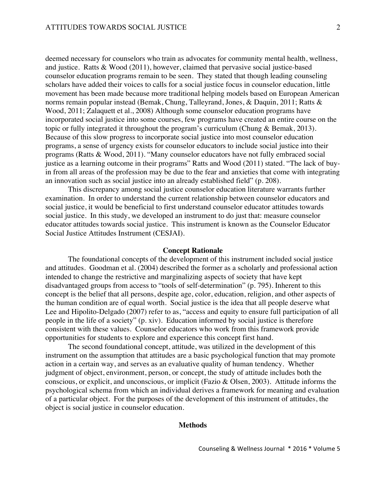deemed necessary for counselors who train as advocates for community mental health, wellness, and justice. Ratts & Wood (2011), however, claimed that pervasive social justice-based counselor education programs remain to be seen. They stated that though leading counseling scholars have added their voices to calls for a social justice focus in counselor education, little movement has been made because more traditional helping models based on European American norms remain popular instead (Bemak, Chung, Talleyrand, Jones, & Daquin, 2011; Ratts & Wood, 2011; Zalaquett et al., 2008) Although some counselor education programs have incorporated social justice into some courses, few programs have created an entire course on the topic or fully integrated it throughout the program's curriculum (Chung & Bemak, 2013). Because of this slow progress to incorporate social justice into most counselor education programs, a sense of urgency exists for counselor educators to include social justice into their programs (Ratts & Wood, 2011). "Many counselor educators have not fully embraced social justice as a learning outcome in their programs" Ratts and Wood (2011) stated. "The lack of buyin from all areas of the profession may be due to the fear and anxieties that come with integrating an innovation such as social justice into an already established field" (p. 208).

This discrepancy among social justice counselor education literature warrants further examination. In order to understand the current relationship between counselor educators and social justice, it would be beneficial to first understand counselor educator attitudes towards social justice. In this study, we developed an instrument to do just that: measure counselor educator attitudes towards social justice. This instrument is known as the Counselor Educator Social Justice Attitudes Instrument (CESJAI).

#### **Concept Rationale**

The foundational concepts of the development of this instrument included social justice and attitudes. Goodman et al. (2004) described the former as a scholarly and professional action intended to change the restrictive and marginalizing aspects of society that have kept disadvantaged groups from access to "tools of self-determination" (p. 795). Inherent to this concept is the belief that all persons, despite age, color, education, religion, and other aspects of the human condition are of equal worth. Social justice is the idea that all people deserve what Lee and Hipolito-Delgado (2007) refer to as, "access and equity to ensure full participation of all people in the life of a society" (p. xiv). Education informed by social justice is therefore consistent with these values. Counselor educators who work from this framework provide opportunities for students to explore and experience this concept first hand.

The second foundational concept, attitude, was utilized in the development of this instrument on the assumption that attitudes are a basic psychological function that may promote action in a certain way, and serves as an evaluative quality of human tendency. Whether judgment of object, environment, person, or concept, the study of attitude includes both the conscious, or explicit, and unconscious, or implicit (Fazio & Olsen, 2003). Attitude informs the psychological schema from which an individual derives a framework for meaning and evaluation of a particular object. For the purposes of the development of this instrument of attitudes, the object is social justice in counselor education.

#### **Methods**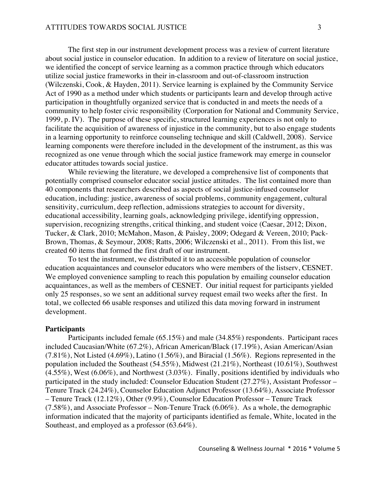The first step in our instrument development process was a review of current literature about social justice in counselor education. In addition to a review of literature on social justice, we identified the concept of service learning as a common practice through which educators utilize social justice frameworks in their in-classroom and out-of-classroom instruction (Wilczenski, Cook, & Hayden, 2011). Service learning is explained by the Community Service Act of 1990 as a method under which students or participants learn and develop through active participation in thoughtfully organized service that is conducted in and meets the needs of a community to help foster civic responsibility (Corporation for National and Community Service, 1999, p. IV). The purpose of these specific, structured learning experiences is not only to facilitate the acquisition of awareness of injustice in the community, but to also engage students in a learning opportunity to reinforce counseling technique and skill (Caldwell, 2008). Service learning components were therefore included in the development of the instrument, as this was recognized as one venue through which the social justice framework may emerge in counselor educator attitudes towards social justice.

While reviewing the literature, we developed a comprehensive list of components that potentially comprised counselor educator social justice attitudes. The list contained more than 40 components that researchers described as aspects of social justice-infused counselor education, including: justice, awareness of social problems, community engagement, cultural sensitivity, curriculum, deep reflection, admissions strategies to account for diversity, educational accessibility, learning goals, acknowledging privilege, identifying oppression, supervision, recognizing strengths, critical thinking, and student voice (Caesar, 2012; Dixon, Tucker, & Clark, 2010; McMahon, Mason, & Paisley, 2009; Odegard & Vereen, 2010; Pack-Brown, Thomas, & Seymour, 2008; Ratts, 2006; Wilczenski et al., 2011). From this list, we created 60 items that formed the first draft of our instrument.

To test the instrument, we distributed it to an accessible population of counselor education acquaintances and counselor educators who were members of the listserv, CESNET. We employed convenience sampling to reach this population by emailing counselor education acquaintances, as well as the members of CESNET. Our initial request for participants yielded only 25 responses, so we sent an additional survey request email two weeks after the first. In total, we collected 66 usable responses and utilized this data moving forward in instrument development.

#### **Participants**

Participants included female (65.15%) and male (34.85%) respondents. Participant races included Caucasian/White (67.2%), African American/Black (17.19%), Asian American/Asian  $(7.81\%)$ , Not Listed  $(4.69\%)$ , Latino  $(1.56\%)$ , and Biracial  $(1.56\%)$ . Regions represented in the population included the Southeast (54.55%), Midwest (21.21%), Northeast (10.61%), Southwest (4.55%), West (6.06%), and Northwest (3.03%). Finally, positions identified by individuals who participated in the study included: Counselor Education Student (27.27%), Assistant Professor – Tenure Track (24.24%), Counselor Education Adjunct Professor (13.64%), Associate Professor – Tenure Track (12.12%), Other (9.9%), Counselor Education Professor – Tenure Track (7.58%), and Associate Professor – Non-Tenure Track (6.06%). As a whole, the demographic information indicated that the majority of participants identified as female, White, located in the Southeast, and employed as a professor (63.64%).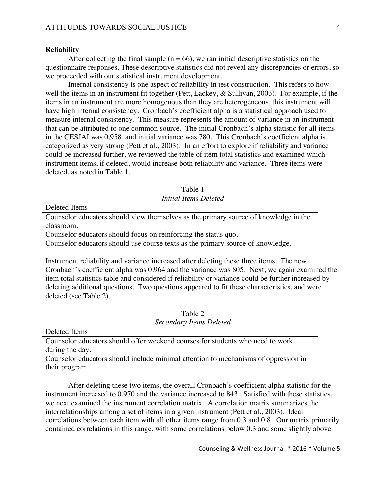#### **Reliability**

After collecting the final sample  $(n = 66)$ , we ran initial descriptive statistics on the questionnaire responses. These descriptive statistics did not reveal any discrepancies or errors, so we proceeded with our statistical instrument development.

Internal consistency is one aspect of reliability in test construction. This refers to how well the items in an instrument fit together (Pett, Lackey, & Sullivan, 2003). For example, if the items in an instrument are more homogenous than they are heterogeneous, this instrument will have high internal consistency. Cronbach's coefficient alpha is a statistical approach used to measure internal consistency. This measure represents the amount of variance in an instrument that can be attributed to one common source. The initial Cronbach's alpha statistic for all items in the CESJAI was 0.958, and initial variance was 780. This Cronbach's coefficient alpha is categorized as very strong (Pett et al., 2003). In an effort to explore if reliability and variance could be increased further, we reviewed the table of item total statistics and examined which instrument items, if deleted, would increase both reliability and variance. Three items were deleted, as noted in Table 1.

Table 1 *Initial Items Deleted*

Deleted Items

Counselor educators should view themselves as the primary source of knowledge in the classroom.

Counselor educators should focus on reinforcing the status quo.

Counselor educators should use course texts as the primary source of knowledge.

Instrument reliability and variance increased after deleting these three items. The new Cronbach's coefficient alpha was 0.964 and the variance was 805. Next, we again examined the item total statistics table and considered if reliability or variance could be further increased by deleting additional questions. Two questions appeared to fit these characteristics, and were deleted (see Table 2).

> Table 2 *Secondary Items Deleted*

Deleted Items Counselor educators should offer weekend courses for students who need to work during the day. Counselor educators should include minimal attention to mechanisms of oppression in their program.

After deleting these two items, the overall Cronbach's coefficient alpha statistic for the instrument increased to 0.970 and the variance increased to 843. Satisfied with these statistics, we next examined the instrument correlation matrix. A correlation matrix summarizes the interrelationships among a set of items in a given instrument (Pett et al., 2003). Ideal correlations between each item with all other items range from 0.3 and 0.8. Our matrix primarily contained correlations in this range, with some correlations below 0.3 and some slightly above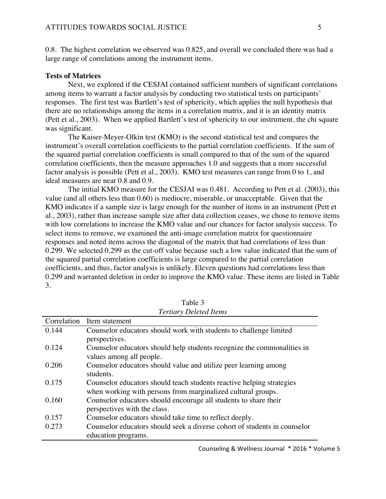0.8. The highest correlation we observed was 0.825, and overall we concluded there was had a large range of correlations among the instrument items.

#### **Tests of Matrices**

Next, we explored if the CESJAI contained sufficient numbers of significant correlations among items to warrant a factor analysis by conducting two statistical tests on participants' responses. The first test was Bartlett's test of sphericity, which applies the null hypothesis that there are no relationships among the items in a correlation matrix, and it is an identity matrix (Pett et al., 2003). When we applied Bartlett's test of sphericity to our instrument, the chi square was significant.

The Kaiser-Meyer-Olkin test (KMO) is the second statistical test and compares the instrument's overall correlation coefficients to the partial correlation coefficients. If the sum of the squared partial correlation coefficients is small compared to that of the sum of the squared correlation coefficients, then the measure approaches 1.0 and suggests that a more successful factor analysis is possible (Pett et al., 2003). KMO test measures can range from 0 to 1, and ideal measures are near 0.8 and 0.9.

The initial KMO measure for the CESJAI was 0.481. According to Pett et al. (2003), this value (and all others less than 0.60) is mediocre, miserable, or unacceptable. Given that the KMO indicates if a sample size is large enough for the number of items in an instrument (Pett et al., 2003), rather than increase sample size after data collection ceases, we chose to remove items with low correlations to increase the KMO value and our chances for factor analysis success. To select items to remove, we examined the anti-image correlation matrix for questionnaire responses and noted items across the diagonal of the matrix that had correlations of less than 0.299. We selected 0.299 as the cut-off value because such a low value indicated that the sum of the squared partial correlation coefficients is large compared to the partial correlation coefficients, and thus, factor analysis is unlikely. Eleven questions had correlations less than 0.299 and warranted deletion in order to improve the KMO value. These items are listed in Table 3.

|             | Ternary Deletea Hems                                                      |
|-------------|---------------------------------------------------------------------------|
| Correlation | Item statement                                                            |
| 0.144       | Counselor educators should work with students to challenge limited        |
|             | perspectives.                                                             |
| 0.124       | Counselor educators should help students recognize the commonalities in   |
|             | values among all people.                                                  |
| 0.206       | Counselor educators should value and utilize peer learning among          |
|             | students.                                                                 |
| 0.175       | Counselor educators should teach students reactive helping strategies     |
|             | when working with persons from marginalized cultural groups.              |
| 0.160       | Counselor educators should encourage all students to share their          |
|             | perspectives with the class.                                              |
| 0.157       | Counselor educators should take time to reflect deeply.                   |
| 0.273       | Counselor educators should seek a diverse cohort of students in counselor |
|             | education programs.                                                       |

Table 3 *Tertiary Deleted Items*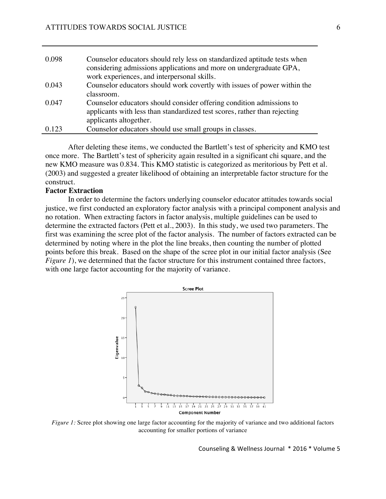| 0.098 | Counselor educators should rely less on standardized aptitude tests when<br>considering admissions applications and more on undergraduate GPA,<br>work experiences, and interpersonal skills. |
|-------|-----------------------------------------------------------------------------------------------------------------------------------------------------------------------------------------------|
| 0.043 | Counselor educators should work covertly with issues of power within the<br>classroom.                                                                                                        |
| 0.047 | Counselor educators should consider offering condition admissions to<br>applicants with less than standardized test scores, rather than rejecting<br>applicants altogether.                   |
| 0.123 | Counselor educators should use small groups in classes.                                                                                                                                       |

After deleting these items, we conducted the Bartlett's test of sphericity and KMO test once more. The Bartlett's test of sphericity again resulted in a significant chi square, and the new KMO measure was 0.834. This KMO statistic is categorized as meritorious by Pett et al. (2003) and suggested a greater likelihood of obtaining an interpretable factor structure for the construct.

## **Factor Extraction**

In order to determine the factors underlying counselor educator attitudes towards social justice, we first conducted an exploratory factor analysis with a principal component analysis and no rotation. When extracting factors in factor analysis, multiple guidelines can be used to determine the extracted factors (Pett et al., 2003). In this study, we used two parameters. The first was examining the scree plot of the factor analysis. The number of factors extracted can be determined by noting where in the plot the line breaks, then counting the number of plotted points before this break. Based on the shape of the scree plot in our initial factor analysis (See *Figure 1*), we determined that the factor structure for this instrument contained three factors, with one large factor accounting for the majority of variance.



*Figure 1:* Scree plot showing one large factor accounting for the majority of variance and two additional factors accounting for smaller portions of variance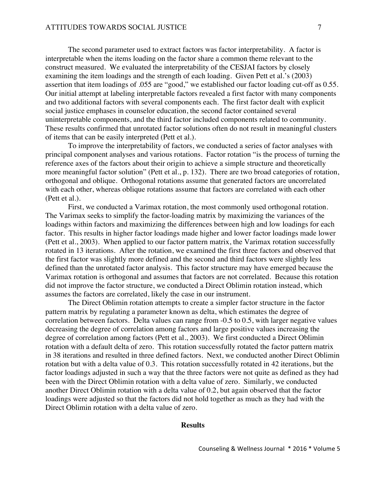The second parameter used to extract factors was factor interpretability. A factor is interpretable when the items loading on the factor share a common theme relevant to the construct measured. We evaluated the interpretability of the CESJAI factors by closely examining the item loadings and the strength of each loading. Given Pett et al.'s (2003) assertion that item loadings of .055 are "good," we established our factor loading cut-off as 0.55. Our initial attempt at labeling interpretable factors revealed a first factor with many components and two additional factors with several components each. The first factor dealt with explicit social justice emphases in counselor education, the second factor contained several uninterpretable components, and the third factor included components related to community. These results confirmed that unrotated factor solutions often do not result in meaningful clusters of items that can be easily interpreted (Pett et al.).

To improve the interpretability of factors, we conducted a series of factor analyses with principal component analyses and various rotations. Factor rotation "is the process of turning the reference axes of the factors about their origin to achieve a simple structure and theoretically more meaningful factor solution" (Pett et al., p. 132). There are two broad categories of rotation, orthogonal and oblique. Orthogonal rotations assume that generated factors are uncorrelated with each other, whereas oblique rotations assume that factors are correlated with each other (Pett et al.).

First, we conducted a Varimax rotation, the most commonly used orthogonal rotation. The Varimax seeks to simplify the factor-loading matrix by maximizing the variances of the loadings within factors and maximizing the differences between high and low loadings for each factor. This results in higher factor loadings made higher and lower factor loadings made lower (Pett et al., 2003). When applied to our factor pattern matrix, the Varimax rotation successfully rotated in 13 iterations. After the rotation, we examined the first three factors and observed that the first factor was slightly more defined and the second and third factors were slightly less defined than the unrotated factor analysis. This factor structure may have emerged because the Varimax rotation is orthogonal and assumes that factors are not correlated. Because this rotation did not improve the factor structure, we conducted a Direct Oblimin rotation instead, which assumes the factors are correlated, likely the case in our instrument.

The Direct Oblimin rotation attempts to create a simpler factor structure in the factor pattern matrix by regulating a parameter known as delta, which estimates the degree of correlation between factors. Delta values can range from -0.5 to 0.5, with larger negative values decreasing the degree of correlation among factors and large positive values increasing the degree of correlation among factors (Pett et al., 2003). We first conducted a Direct Oblimin rotation with a default delta of zero. This rotation successfully rotated the factor pattern matrix in 38 iterations and resulted in three defined factors. Next, we conducted another Direct Oblimin rotation but with a delta value of 0.3. This rotation successfully rotated in 42 iterations, but the factor loadings adjusted in such a way that the three factors were not quite as defined as they had been with the Direct Oblimin rotation with a delta value of zero. Similarly, we conducted another Direct Oblimin rotation with a delta value of 0.2, but again observed that the factor loadings were adjusted so that the factors did not hold together as much as they had with the Direct Oblimin rotation with a delta value of zero.

#### **Results**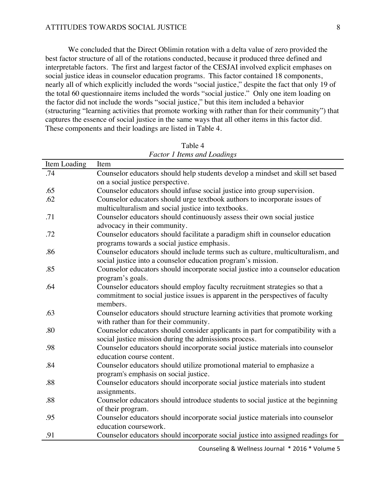#### ATTITUDES TOWARDS SOCIAL JUSTICE 8

We concluded that the Direct Oblimin rotation with a delta value of zero provided the best factor structure of all of the rotations conducted, because it produced three defined and interpretable factors. The first and largest factor of the CESJAI involved explicit emphases on social justice ideas in counselor education programs. This factor contained 18 components, nearly all of which explicitly included the words "social justice," despite the fact that only 19 of the total 60 questionnaire items included the words "social justice." Only one item loading on the factor did not include the words "social justice," but this item included a behavior (structuring "learning activities that promote working with rather than for their community") that captures the essence of social justice in the same ways that all other items in this factor did. These components and their loadings are listed in Table 4.

| Item Loading | Item                                                                             |
|--------------|----------------------------------------------------------------------------------|
| .74          | Counselor educators should help students develop a mindset and skill set based   |
|              | on a social justice perspective.                                                 |
| .65          | Counselor educators should infuse social justice into group supervision.         |
| .62          | Counselor educators should urge textbook authors to incorporate issues of        |
|              | multiculturalism and social justice into textbooks.                              |
| .71          | Counselor educators should continuously assess their own social justice          |
|              | advocacy in their community.                                                     |
| .72          | Counselor educators should facilitate a paradigm shift in counselor education    |
|              | programs towards a social justice emphasis.                                      |
| .86          | Counselor educators should include terms such as culture, multiculturalism, and  |
|              | social justice into a counselor education program's mission.                     |
| .85          | Counselor educators should incorporate social justice into a counselor education |
|              | program's goals.                                                                 |
| .64          | Counselor educators should employ faculty recruitment strategies so that a       |
|              | commitment to social justice issues is apparent in the perspectives of faculty   |
|              | members.                                                                         |
| .63          | Counselor educators should structure learning activities that promote working    |
|              | with rather than for their community.                                            |
| .80          | Counselor educators should consider applicants in part for compatibility with a  |
|              | social justice mission during the admissions process.                            |
| .98          | Counselor educators should incorporate social justice materials into counselor   |
|              | education course content.                                                        |
| .84          | Counselor educators should utilize promotional material to emphasize a           |
|              | program's emphasis on social justice.                                            |
| .88          | Counselor educators should incorporate social justice materials into student     |
|              | assignments.                                                                     |
| .88          | Counselor educators should introduce students to social justice at the beginning |
|              | of their program.                                                                |
| .95          | Counselor educators should incorporate social justice materials into counselor   |
|              | education coursework.                                                            |
| .91          | Counselor educators should incorporate social justice into assigned readings for |
|              |                                                                                  |

Table 4 *Factor 1 Items and Loadings*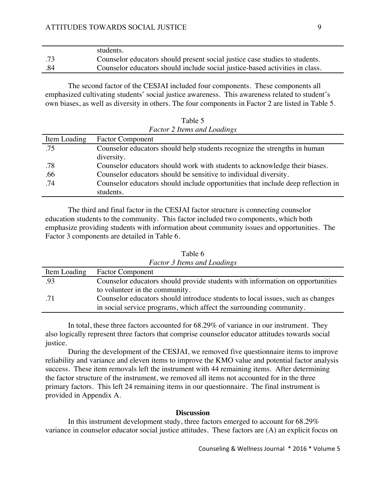|     | students.                                                                    |
|-----|------------------------------------------------------------------------------|
| .73 | Counselor educators should present social justice case studies to students.  |
| .84 | Counselor educators should include social justice-based activities in class. |

The second factor of the CESJAI included four components. These components all emphasized cultivating students' social justice awareness. This awareness related to student's own biases, as well as diversity in others. The four components in Factor 2 are listed in Table 5.

Table 5 *Factor 2 Items and Loadings*

| Item Loading | <b>Factor Component</b>                                                          |
|--------------|----------------------------------------------------------------------------------|
| .75          | Counselor educators should help students recognize the strengths in human        |
|              | diversity.                                                                       |
| .78          | Counselor educators should work with students to acknowledge their biases.       |
| .66          | Counselor educators should be sensitive to individual diversity.                 |
| .74          | Counselor educators should include opportunities that include deep reflection in |
|              | students.                                                                        |

The third and final factor in the CESJAI factor structure is connecting counselor education students to the community. This factor included two components, which both emphasize providing students with information about community issues and opportunities. The Factor 3 components are detailed in Table 6.

| <b>Factor 3 Items and Loadings</b> |                                                                                |  |
|------------------------------------|--------------------------------------------------------------------------------|--|
| Item Loading                       | <b>Factor Component</b>                                                        |  |
| .93                                | Counselor educators should provide students with information on opportunities  |  |
|                                    | to volunteer in the community.                                                 |  |
| .71                                | Counselor educators should introduce students to local issues, such as changes |  |
|                                    | in social service programs, which affect the surrounding community.            |  |

Table 6

In total, these three factors accounted for 68.29% of variance in our instrument. They also logically represent three factors that comprise counselor educator attitudes towards social justice.

During the development of the CESJAI, we removed five questionnaire items to improve reliability and variance and eleven items to improve the KMO value and potential factor analysis success. These item removals left the instrument with 44 remaining items. After determining the factor structure of the instrument, we removed all items not accounted for in the three primary factors. This left 24 remaining items in our questionnaire. The final instrument is provided in Appendix A.

## **Discussion**

In this instrument development study, three factors emerged to account for 68.29% variance in counselor educator social justice attitudes. These factors are (A) an explicit focus on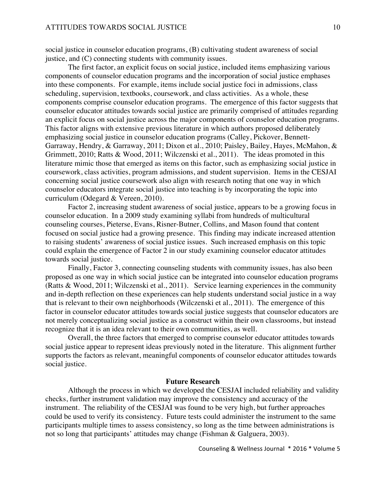social justice in counselor education programs, (B) cultivating student awareness of social justice, and (C) connecting students with community issues.

The first factor, an explicit focus on social justice, included items emphasizing various components of counselor education programs and the incorporation of social justice emphases into these components. For example, items include social justice foci in admissions, class scheduling, supervision, textbooks, coursework, and class activities. As a whole, these components comprise counselor education programs. The emergence of this factor suggests that counselor educator attitudes towards social justice are primarily comprised of attitudes regarding an explicit focus on social justice across the major components of counselor education programs. This factor aligns with extensive previous literature in which authors proposed deliberately emphasizing social justice in counselor education programs (Calley, Pickover, Bennett-Garraway, Hendry, & Garraway, 2011; Dixon et al., 2010; Paisley, Bailey, Hayes, McMahon, & Grimmett, 2010; Ratts & Wood, 2011; Wilczenski et al., 2011). The ideas promoted in this literature mimic those that emerged as items on this factor, such as emphasizing social justice in coursework, class activities, program admissions, and student supervision. Items in the CESJAI concerning social justice coursework also align with research noting that one way in which counselor educators integrate social justice into teaching is by incorporating the topic into curriculum (Odegard & Vereen, 2010).

Factor 2, increasing student awareness of social justice, appears to be a growing focus in counselor education. In a 2009 study examining syllabi from hundreds of multicultural counseling courses, Pieterse, Evans, Risner-Butner, Collins, and Mason found that content focused on social justice had a growing presence. This finding may indicate increased attention to raising students' awareness of social justice issues. Such increased emphasis on this topic could explain the emergence of Factor 2 in our study examining counselor educator attitudes towards social justice.

Finally, Factor 3, connecting counseling students with community issues, has also been proposed as one way in which social justice can be integrated into counselor education programs (Ratts & Wood, 2011; Wilczenski et al., 2011). Service learning experiences in the community and in-depth reflection on these experiences can help students understand social justice in a way that is relevant to their own neighborhoods (Wilczenski et al., 2011). The emergence of this factor in counselor educator attitudes towards social justice suggests that counselor educators are not merely conceptualizing social justice as a construct within their own classrooms, but instead recognize that it is an idea relevant to their own communities, as well.

Overall, the three factors that emerged to comprise counselor educator attitudes towards social justice appear to represent ideas previously noted in the literature. This alignment further supports the factors as relevant, meaningful components of counselor educator attitudes towards social justice.

#### **Future Research**

Although the process in which we developed the CESJAI included reliability and validity checks, further instrument validation may improve the consistency and accuracy of the instrument. The reliability of the CESJAI was found to be very high, but further approaches could be used to verify its consistency. Future tests could administer the instrument to the same participants multiple times to assess consistency, so long as the time between administrations is not so long that participants' attitudes may change (Fishman & Galguera, 2003).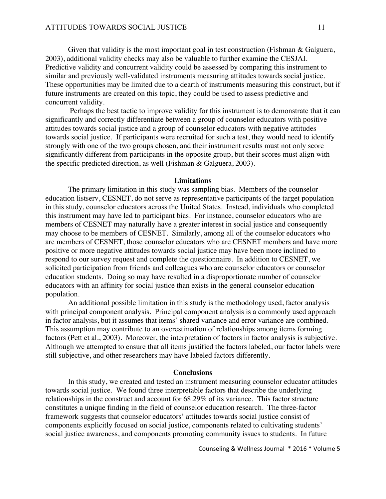Given that validity is the most important goal in test construction (Fishman & Galguera, 2003), additional validity checks may also be valuable to further examine the CESJAI. Predictive validity and concurrent validity could be assessed by comparing this instrument to similar and previously well-validated instruments measuring attitudes towards social justice. These opportunities may be limited due to a dearth of instruments measuring this construct, but if future instruments are created on this topic, they could be used to assess predictive and concurrent validity.

Perhaps the best tactic to improve validity for this instrument is to demonstrate that it can significantly and correctly differentiate between a group of counselor educators with positive attitudes towards social justice and a group of counselor educators with negative attitudes towards social justice. If participants were recruited for such a test, they would need to identify strongly with one of the two groups chosen, and their instrument results must not only score significantly different from participants in the opposite group, but their scores must align with the specific predicted direction, as well (Fishman & Galguera, 2003).

#### **Limitations**

The primary limitation in this study was sampling bias. Members of the counselor education listserv, CESNET, do not serve as representative participants of the target population in this study, counselor educators across the United States. Instead, individuals who completed this instrument may have led to participant bias. For instance, counselor educators who are members of CESNET may naturally have a greater interest in social justice and consequently may choose to be members of CESNET. Similarly, among all of the counselor educators who are members of CESNET, those counselor educators who are CESNET members and have more positive or more negative attitudes towards social justice may have been more inclined to respond to our survey request and complete the questionnaire. In addition to CESNET, we solicited participation from friends and colleagues who are counselor educators or counselor education students. Doing so may have resulted in a disproportionate number of counselor educators with an affinity for social justice than exists in the general counselor education population.

An additional possible limitation in this study is the methodology used, factor analysis with principal component analysis. Principal component analysis is a commonly used approach in factor analysis, but it assumes that items' shared variance and error variance are combined. This assumption may contribute to an overestimation of relationships among items forming factors (Pett et al., 2003). Moreover, the interpretation of factors in factor analysis is subjective. Although we attempted to ensure that all items justified the factors labeled, our factor labels were still subjective, and other researchers may have labeled factors differently.

#### **Conclusions**

In this study, we created and tested an instrument measuring counselor educator attitudes towards social justice. We found three interpretable factors that describe the underlying relationships in the construct and account for 68.29% of its variance. This factor structure constitutes a unique finding in the field of counselor education research. The three-factor framework suggests that counselor educators' attitudes towards social justice consist of components explicitly focused on social justice, components related to cultivating students' social justice awareness, and components promoting community issues to students. In future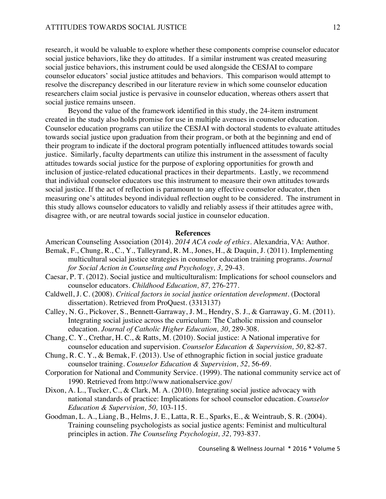research, it would be valuable to explore whether these components comprise counselor educator social justice behaviors, like they do attitudes. If a similar instrument was created measuring social justice behaviors, this instrument could be used alongside the CESJAI to compare counselor educators' social justice attitudes and behaviors. This comparison would attempt to resolve the discrepancy described in our literature review in which some counselor education researchers claim social justice is pervasive in counselor education, whereas others assert that social justice remains unseen.

Beyond the value of the framework identified in this study, the 24-item instrument created in the study also holds promise for use in multiple avenues in counselor education. Counselor education programs can utilize the CESJAI with doctoral students to evaluate attitudes towards social justice upon graduation from their program, or both at the beginning and end of their program to indicate if the doctoral program potentially influenced attitudes towards social justice. Similarly, faculty departments can utilize this instrument in the assessment of faculty attitudes towards social justice for the purpose of exploring opportunities for growth and inclusion of justice-related educational practices in their departments. Lastly, we recommend that individual counselor educators use this instrument to measure their own attitudes towards social justice. If the act of reflection is paramount to any effective counselor educator, then measuring one's attitudes beyond individual reflection ought to be considered. The instrument in this study allows counselor educators to validly and reliably assess if their attitudes agree with, disagree with, or are neutral towards social justice in counselor education.

#### **References**

American Counseling Association (2014). *2014 ACA code of ethics.* Alexandria, VA: Author.

- Bemak, F., Chung, R., C., Y., Talleyrand, R. M., Jones, H., & Daquin, J. (2011). Implementing multicultural social justice strategies in counselor education training programs. *Journal for Social Action in Counseling and Psychology, 3,* 29-43.
- Caesar, P. T. (2012). Social justice and multiculturalism: Implications for school counselors and counselor educators. *Childhood Education, 87,* 276-277.
- Caldwell, J. C. (2008). *Critical factors in social justice orientation development.* (Doctoral dissertation). Retrieved from ProQuest. (3313137)
- Calley, N. G., Pickover, S., Bennett-Garraway, J. M., Hendry, S. J., & Garraway, G. M. (2011). Integrating social justice across the curriculum: The Catholic mission and counselor education. *Journal of Catholic Higher Education, 30,* 289-308.
- Chang, C. Y., Crethar, H. C., & Ratts, M. (2010). Social justice: A National imperative for counselor education and supervision. *Counselor Education & Supervision, 50*, 82-87.
- Chung, R. C. Y., & Bemak, F. (2013). Use of ethnographic fiction in social justice graduate counselor training. *Counselor Education & Supervision, 52,* 56-69.
- Corporation for National and Community Service. (1999). The national community service act of 1990. Retrieved from http://www.nationalservice.gov/
- Dixon, A. L., Tucker, C., & Clark, M. A. (2010). Integrating social justice advocacy with national standards of practice: Implications for school counselor education. *Counselor Education & Supervision, 50,* 103-115.
- Goodman, L. A., Liang, B., Helms, J. E., Latta, R. E., Sparks, E., & Weintraub, S. R. (2004). Training counseling psychologists as social justice agents: Feminist and multicultural principles in action. *The Counseling Psychologist, 32,* 793-837.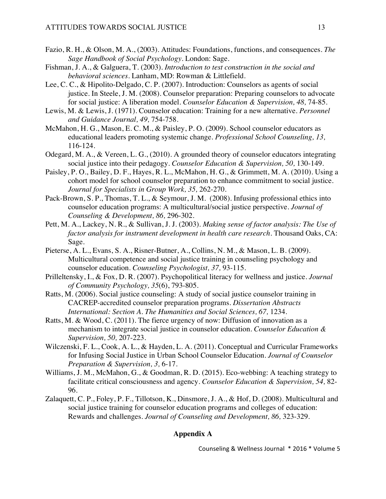- Fazio, R. H., & Olson, M. A., (2003). Attitudes: Foundations, functions, and consequences. *The Sage Handbook of Social Psychology.* London: Sage.
- Fishman, J. A., & Galguera, T. (2003). *Introduction to test construction in the social and behavioral sciences.* Lanham, MD: Rowman & Littlefield.
- Lee, C. C., & Hipolito-Delgado, C. P. (2007). Introduction: Counselors as agents of social justice. In Steele, J. M. (2008). Counselor preparation: Preparing counselors to advocate for social justice: A liberation model. *Counselor Education & Supervision, 48,* 74-85.
- Lewis, M. & Lewis, J. (1971). Counselor education: Training for a new alternative. *Personnel and Guidance Journal, 49,* 754-758.
- McMahon, H. G., Mason, E. C. M., & Paisley, P. O. (2009). School counselor educators as educational leaders promoting systemic change. *Professional School Counseling, 13,*  116-124.
- Odegard, M. A., & Vereen, L. G., (2010). A grounded theory of counselor educators integrating social justice into their pedagogy. *Counselor Education & Supervision, 50,* 130-149.
- Paisley, P. O., Bailey, D. F., Hayes, R. L., McMahon, H. G., & Grimmett, M. A. (2010). Using a cohort model for school counselor preparation to enhance commitment to social justice. *Journal for Specialists in Group Work, 35,* 262-270.
- Pack-Brown, S. P., Thomas, T. L., & Seymour, J. M. (2008). Infusing professional ethics into counselor education programs: A multicultural/social justice perspective. *Journal of Counseling & Development, 86,* 296-302.
- Pett, M. A., Lackey, N. R., & Sullivan, J. J. (2003). *Making sense of factor analysis: The Use of factor analysis for instrument development in health care research.* Thousand Oaks, CA: Sage.
- Pieterse, A. L., Evans, S. A., Risner-Butner, A., Collins, N. M., & Mason, L. B. (2009). Multicultural competence and social justice training in counseling psychology and counselor education. *Counseling Psychologist, 37,* 93-115.
- Prilleltensky, I., & Fox, D. R. (2007). Psychopolitical literacy for wellness and justice. *Journal of Community Psychology, 35*(6), 793-805.
- Ratts, M. (2006). Social justice counseling: A study of social justice counselor training in CACREP-accredited counselor preparation programs. *Dissertation Abstracts*  International: Section A. The Humanities and Social Sciences, 67, 1234.
- Ratts, M. & Wood, C. (2011). The fierce urgency of now: Diffusion of innovation as a mechanism to integrate social justice in counselor education. *Counselor Education & Supervision, 50,* 207-223.
- Wilczenski, F. L., Cook, A. L., & Hayden, L. A. (2011). Conceptual and Curricular Frameworks for Infusing Social Justice in Urban School Counselor Education. *Journal of Counselor Preparation & Supervision, 3,* 6-17.
- Williams, J. M., McMahon, G., & Goodman, R. D. (2015). Eco-webbing: A teaching strategy to facilitate critical consciousness and agency. *Counselor Education & Supervision, 54,* 82- 96.
- Zalaquett, C. P., Foley, P. F., Tillotson, K., Dinsmore, J. A., & Hof, D. (2008). Multicultural and social justice training for counselor education programs and colleges of education: Rewards and challenges. *Journal of Counseling and Development, 86,* 323-329.

## **Appendix A**